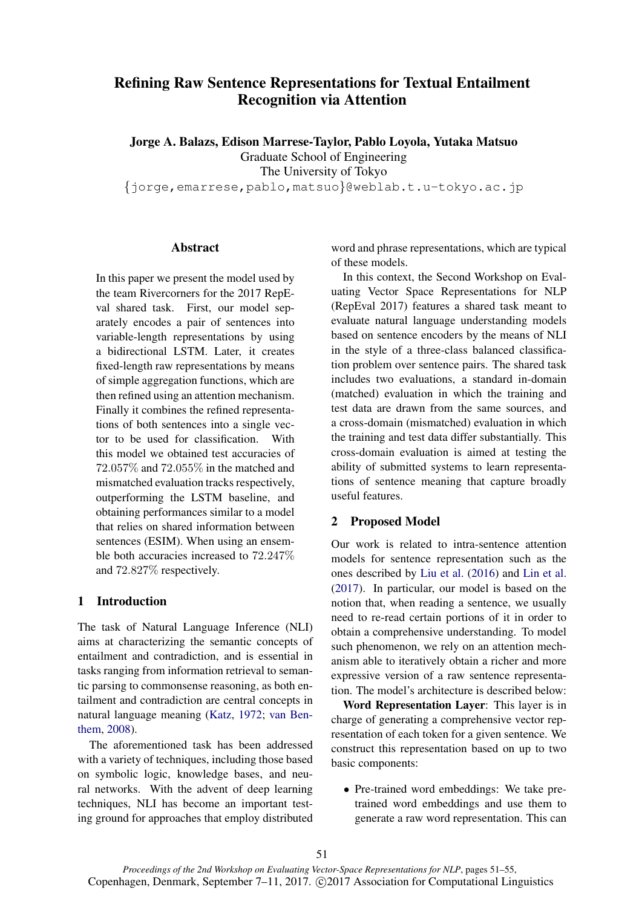# Refining Raw Sentence Representations for Textual Entailment Recognition via Attention

Jorge A. Balazs, Edison Marrese-Taylor, Pablo Loyola, Yutaka Matsuo Graduate School of Engineering The University of Tokyo

{jorge,emarrese,pablo,matsuo}@weblab.t.u-tokyo.ac.jp

## Abstract

In this paper we present the model used by the team Rivercorners for the 2017 RepEval shared task. First, our model separately encodes a pair of sentences into variable-length representations by using a bidirectional LSTM. Later, it creates fixed-length raw representations by means of simple aggregation functions, which are then refined using an attention mechanism. Finally it combines the refined representations of both sentences into a single vector to be used for classification. With this model we obtained test accuracies of 72.057% and 72.055% in the matched and mismatched evaluation tracks respectively, outperforming the LSTM baseline, and obtaining performances similar to a model that relies on shared information between sentences (ESIM). When using an ensemble both accuracies increased to 72.247% and 72.827% respectively.

# 1 Introduction

The task of Natural Language Inference (NLI) aims at characterizing the semantic concepts of entailment and contradiction, and is essential in tasks ranging from information retrieval to semantic parsing to commonsense reasoning, as both entailment and contradiction are central concepts in natural language meaning (Katz, 1972; van Benthem, 2008).

The aforementioned task has been addressed with a variety of techniques, including those based on symbolic logic, knowledge bases, and neural networks. With the advent of deep learning techniques, NLI has become an important testing ground for approaches that employ distributed

word and phrase representations, which are typical of these models.

In this context, the Second Workshop on Evaluating Vector Space Representations for NLP (RepEval 2017) features a shared task meant to evaluate natural language understanding models based on sentence encoders by the means of NLI in the style of a three-class balanced classification problem over sentence pairs. The shared task includes two evaluations, a standard in-domain (matched) evaluation in which the training and test data are drawn from the same sources, and a cross-domain (mismatched) evaluation in which the training and test data differ substantially. This cross-domain evaluation is aimed at testing the ability of submitted systems to learn representations of sentence meaning that capture broadly useful features.

#### 2 Proposed Model

Our work is related to intra-sentence attention models for sentence representation such as the ones described by Liu et al. (2016) and Lin et al. (2017). In particular, our model is based on the notion that, when reading a sentence, we usually need to re-read certain portions of it in order to obtain a comprehensive understanding. To model such phenomenon, we rely on an attention mechanism able to iteratively obtain a richer and more expressive version of a raw sentence representation. The model's architecture is described below:

Word Representation Layer: This layer is in charge of generating a comprehensive vector representation of each token for a given sentence. We construct this representation based on up to two basic components:

• Pre-trained word embeddings: We take pretrained word embeddings and use them to generate a raw word representation. This can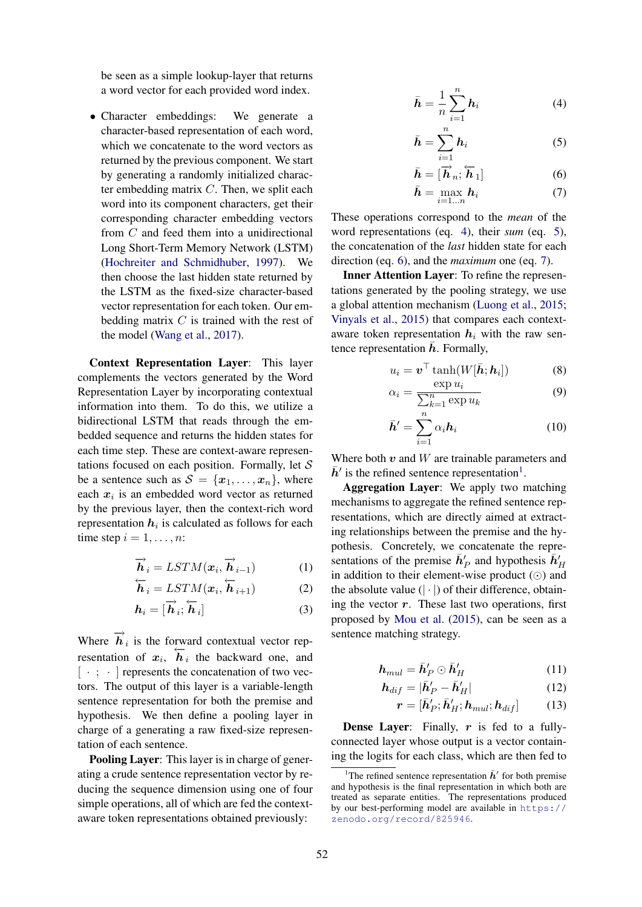be seen as a simple lookup-layer that returns a word vector for each provided word index.

• Character embeddings: We generate a character-based representation of each word, which we concatenate to the word vectors as returned by the previous component. We start by generating a randomly initialized character embedding matrix  $C$ . Then, we split each word into its component characters, get their corresponding character embedding vectors from C and feed them into a unidirectional Long Short-Term Memory Network (LSTM) (Hochreiter and Schmidhuber, 1997). We then choose the last hidden state returned by the LSTM as the fixed-size character-based vector representation for each token. Our embedding matrix  $C$  is trained with the rest of the model (Wang et al., 2017).

Context Representation Layer: This layer complements the vectors generated by the Word Representation Layer by incorporating contextual information into them. To do this, we utilize a bidirectional LSTM that reads through the embedded sequence and returns the hidden states for each time step. These are context-aware representations focused on each position. Formally, let  $S$ be a sentence such as  $S = \{x_1, \ldots, x_n\}$ , where each  $x_i$  is an embedded word vector as returned by the previous layer, then the context-rich word representation  $\boldsymbol{h}_i$  is calculated as follows for each time step  $i = 1, \ldots, n$ :

$$
\overrightarrow{\boldsymbol{h}}_{i} = LSTM(\boldsymbol{x}_{i}, \overrightarrow{\boldsymbol{h}}_{i-1})
$$
 (1)

$$
\overleftarrow{\boldsymbol{h}}_{i} = LSTM(\boldsymbol{x}_{i}, \overleftarrow{\boldsymbol{h}}_{i+1})
$$
 (2)

$$
\boldsymbol{h}_i = [\overrightarrow{\boldsymbol{h}}_i; \overleftarrow{\boldsymbol{h}}_i] \tag{3}
$$

Where  $\overrightarrow{h}_i$  is the forward contextual vector representation of  $x_i$ ,  $\overline{h}_i$  the backward one, and  $[\cdot;\cdot]$  represents the concatenation of two vectors. The output of this layer is a variable-length sentence representation for both the premise and hypothesis. We then define a pooling layer in charge of a generating a raw fixed-size representation of each sentence.

Pooling Layer: This layer is in charge of generating a crude sentence representation vector by reducing the sequence dimension using one of four simple operations, all of which are fed the contextaware token representations obtained previously:

$$
\bar{\boldsymbol{h}} = \frac{1}{n} \sum_{i=1}^{n} \boldsymbol{h}_i
$$
 (4)

$$
\bar{\boldsymbol{h}} = \sum_{i=1}^{n} \boldsymbol{h}_i \tag{5}
$$

$$
\bar{\boldsymbol{h}} = [\overrightarrow{\boldsymbol{h}}_n; \overleftarrow{\boldsymbol{h}}_1] \tag{6}
$$

$$
\bar{\boldsymbol{h}} = \max_{i=1...n} \boldsymbol{h}_i \tag{7}
$$

These operations correspond to the *mean* of the word representations (eq. 4), their *sum* (eq. 5), the concatenation of the *last* hidden state for each direction (eq. 6), and the *maximum* one (eq. 7).

Inner Attention Layer: To refine the representations generated by the pooling strategy, we use a global attention mechanism (Luong et al., 2015; Vinyals et al., 2015) that compares each contextaware token representation  $h_i$  with the raw sentence representation  $\bar{h}$ . Formally,

$$
u_i = \boldsymbol{v}^\top \tanh(W[\bar{\boldsymbol{h}}; \boldsymbol{h}_i]) \tag{8}
$$

$$
\alpha_i = \frac{\exp u_i}{\sum_{k=1}^n \exp u_k} \tag{9}
$$

$$
\bar{\mathbf{h}}' = \sum_{i=1}^{n} \alpha_i \mathbf{h}_i
$$
 (10)

Where both  $v$  and  $W$  are trainable parameters and  $\bar{h}$ ' is the refined sentence representation<sup>1</sup>.

Aggregation Layer: We apply two matching mechanisms to aggregate the refined sentence representations, which are directly aimed at extracting relationships between the premise and the hypothesis. Concretely, we concatenate the representations of the premise  $\bar{h}'_P$  and hypothesis  $\bar{h}'_H$ in addition to their element-wise product  $(\odot)$  and the absolute value  $(| \cdot |)$  of their difference, obtaining the vector  $r$ . These last two operations, first proposed by Mou et al. (2015), can be seen as a sentence matching strategy.

$$
\boldsymbol{h}_{mul} = \bar{\boldsymbol{h}}_{P}' \odot \bar{\boldsymbol{h}}_{H}' \tag{11}
$$

$$
\boldsymbol{h}_{dif} = |\bar{\boldsymbol{h}}'_{P} - \bar{\boldsymbol{h}}'_{H}| \tag{12}
$$

$$
\boldsymbol{r} = [\bar{\boldsymbol{h}}'_{P}; \bar{\boldsymbol{h}}'_{H}; \boldsymbol{h}_{mul}; \boldsymbol{h}_{dif}] \qquad (13)
$$

**Dense Layer:** Finally,  $r$  is fed to a fullyconnected layer whose output is a vector containing the logits for each class, which are then fed to

<sup>&</sup>lt;sup>1</sup>The refined sentence representation  $\bar{h}'$  for both premise and hypothesis is the final representation in which both are treated as separate entities. The representations produced by our best-performing model are available in https:// zenodo.org/record/825946.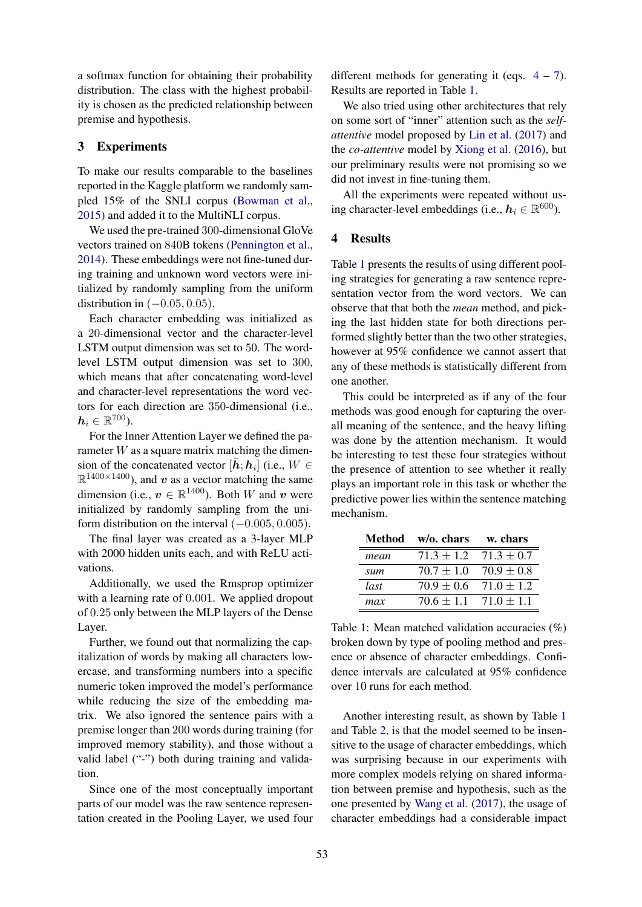a softmax function for obtaining their probability distribution. The class with the highest probability is chosen as the predicted relationship between premise and hypothesis.

## 3 Experiments

To make our results comparable to the baselines reported in the Kaggle platform we randomly sampled 15% of the SNLI corpus (Bowman et al., 2015) and added it to the MultiNLI corpus.

We used the pre-trained 300-dimensional GloVe vectors trained on 840B tokens (Pennington et al., 2014). These embeddings were not fine-tuned during training and unknown word vectors were initialized by randomly sampling from the uniform distribution in  $(-0.05, 0.05)$ .

Each character embedding was initialized as a 20-dimensional vector and the character-level LSTM output dimension was set to 50. The wordlevel LSTM output dimension was set to 300, which means that after concatenating word-level and character-level representations the word vectors for each direction are 350-dimensional (i.e.,  $\boldsymbol{h}_i \in \mathbb{R}^{700}$ ).

For the Inner Attention Layer we defined the parameter  $W$  as a square matrix matching the dimension of the concatenated vector  $[\bar{h}; h_i]$  (i.e.,  $W \in$  $\mathbb{R}^{1400\times1400}$ ), and v as a vector matching the same dimension (i.e.,  $v \in \mathbb{R}^{1400}$ ). Both W and v were initialized by randomly sampling from the uniform distribution on the interval  $(-0.005, 0.005)$ .

The final layer was created as a 3-layer MLP with 2000 hidden units each, and with ReLU activations.

Additionally, we used the Rmsprop optimizer with a learning rate of 0.001. We applied dropout of 0.25 only between the MLP layers of the Dense Layer.

Further, we found out that normalizing the capitalization of words by making all characters lowercase, and transforming numbers into a specific numeric token improved the model's performance while reducing the size of the embedding matrix. We also ignored the sentence pairs with a premise longer than 200 words during training (for improved memory stability), and those without a valid label ("-") both during training and validation.

Since one of the most conceptually important parts of our model was the raw sentence representation created in the Pooling Layer, we used four

different methods for generating it (eqs.  $4 - 7$ ). Results are reported in Table 1.

We also tried using other architectures that rely on some sort of "inner" attention such as the *selfattentive* model proposed by Lin et al. (2017) and the *co-attentive* model by Xiong et al. (2016), but our preliminary results were not promising so we did not invest in fine-tuning them.

All the experiments were repeated without using character-level embeddings (i.e.,  $h_i \in \mathbb{R}^{600}$ ).

## 4 Results

Table 1 presents the results of using different pooling strategies for generating a raw sentence representation vector from the word vectors. We can observe that that both the *mean* method, and picking the last hidden state for both directions performed slightly better than the two other strategies, however at 95% confidence we cannot assert that any of these methods is statistically different from one another.

This could be interpreted as if any of the four methods was good enough for capturing the overall meaning of the sentence, and the heavy lifting was done by the attention mechanism. It would be interesting to test these four strategies without the presence of attention to see whether it really plays an important role in this task or whether the predictive power lies within the sentence matching mechanism.

|      | Method w/o. chars             | w. chars                      |
|------|-------------------------------|-------------------------------|
| mean | $71.3 \pm 1.2$ $71.3 \pm 0.7$ |                               |
| sum  | $70.7 + 1.0$ $70.9 + 0.8$     |                               |
| last |                               | $70.9 \pm 0.6$ $71.0 \pm 1.2$ |
| max  | $70.6 + 1.1$ $71.0 + 1.1$     |                               |

Table 1: Mean matched validation accuracies (%) broken down by type of pooling method and presence or absence of character embeddings. Confidence intervals are calculated at 95% confidence over 10 runs for each method.

Another interesting result, as shown by Table 1 and Table 2, is that the model seemed to be insensitive to the usage of character embeddings, which was surprising because in our experiments with more complex models relying on shared information between premise and hypothesis, such as the one presented by Wang et al. (2017), the usage of character embeddings had a considerable impact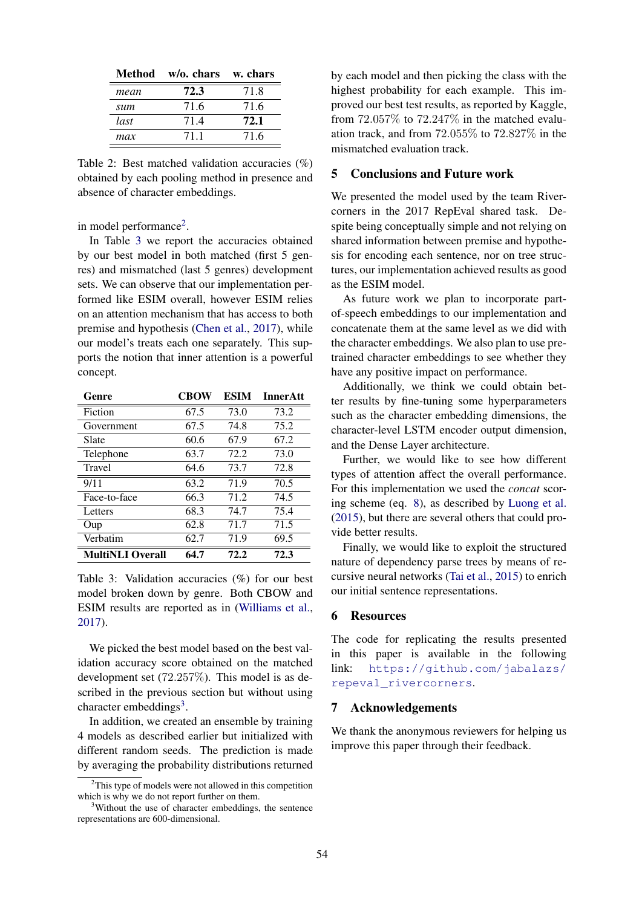|      | Method w/o. chars w. chars |      |  |
|------|----------------------------|------|--|
| mean | 72.3                       | 71.8 |  |
| sum  | 71.6                       | 71.6 |  |
| last | 71.4                       | 72.1 |  |
| max  | 711                        | 71.6 |  |

Table 2: Best matched validation accuracies (%) obtained by each pooling method in presence and absence of character embeddings.

in model performance<sup>2</sup>.

In Table 3 we report the accuracies obtained by our best model in both matched (first 5 genres) and mismatched (last 5 genres) development sets. We can observe that our implementation performed like ESIM overall, however ESIM relies on an attention mechanism that has access to both premise and hypothesis (Chen et al., 2017), while our model's treats each one separately. This supports the notion that inner attention is a powerful concept.

| Genre                   | <b>CBOW</b> | ESIM | <b>InnerAtt</b> |
|-------------------------|-------------|------|-----------------|
| Fiction                 | 67.5        | 73.0 | 73.2            |
| Government              | 67.5        | 74.8 | 75.2            |
| Slate                   | 60.6        | 67.9 | 67.2            |
| Telephone               | 63.7        | 72.2 | 73.0            |
| <b>Travel</b>           | 64.6        | 73.7 | 72.8            |
| 9/11                    | 63.2        | 71.9 | 70.5            |
| Face-to-face            | 66.3        | 71.2 | 74.5            |
| Letters                 | 68.3        | 74.7 | 75.4            |
| Oup                     | 62.8        | 71.7 | 71.5            |
| Verbatim                | 62.7        | 71.9 | 69.5            |
| <b>MultiNLI Overall</b> | 64.7        | 72.2 | 72.3            |

Table 3: Validation accuracies (%) for our best model broken down by genre. Both CBOW and ESIM results are reported as in (Williams et al., 2017).

We picked the best model based on the best validation accuracy score obtained on the matched development set (72.257%). This model is as described in the previous section but without using character embeddings<sup>3</sup>.

In addition, we created an ensemble by training 4 models as described earlier but initialized with different random seeds. The prediction is made by averaging the probability distributions returned

by each model and then picking the class with the highest probability for each example. This improved our best test results, as reported by Kaggle, from 72.057% to 72.247% in the matched evaluation track, and from 72.055% to 72.827% in the mismatched evaluation track.

# 5 Conclusions and Future work

We presented the model used by the team Rivercorners in the 2017 RepEval shared task. Despite being conceptually simple and not relying on shared information between premise and hypothesis for encoding each sentence, nor on tree structures, our implementation achieved results as good as the ESIM model.

As future work we plan to incorporate partof-speech embeddings to our implementation and concatenate them at the same level as we did with the character embeddings. We also plan to use pretrained character embeddings to see whether they have any positive impact on performance.

Additionally, we think we could obtain better results by fine-tuning some hyperparameters such as the character embedding dimensions, the character-level LSTM encoder output dimension, and the Dense Layer architecture.

Further, we would like to see how different types of attention affect the overall performance. For this implementation we used the *concat* scoring scheme (eq. 8), as described by Luong et al. (2015), but there are several others that could provide better results.

Finally, we would like to exploit the structured nature of dependency parse trees by means of recursive neural networks (Tai et al., 2015) to enrich our initial sentence representations.

#### 6 Resources

The code for replicating the results presented in this paper is available in the following link: https://github.com/jabalazs/ repeval\_rivercorners.

#### 7 Acknowledgements

We thank the anonymous reviewers for helping us improve this paper through their feedback.

<sup>2</sup>This type of models were not allowed in this competition which is why we do not report further on them.

<sup>&</sup>lt;sup>3</sup>Without the use of character embeddings, the sentence representations are 600-dimensional.